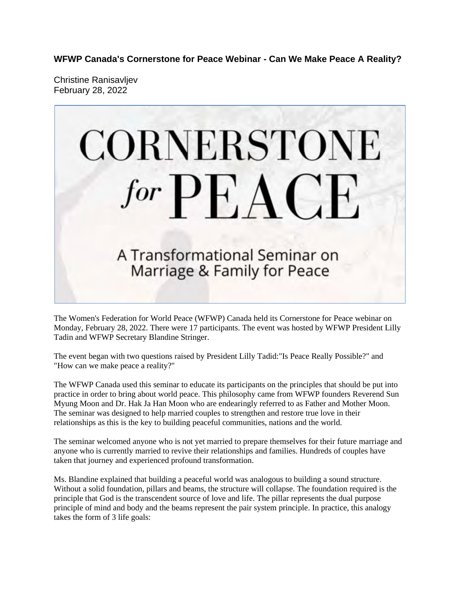**WFWP Canada's Cornerstone for Peace Webinar - Can We Make Peace A Reality?**

Christine Ranisavljev February 28, 2022



The Women's Federation for World Peace (WFWP) Canada held its Cornerstone for Peace webinar on Monday, February 28, 2022. There were 17 participants. The event was hosted by WFWP President Lilly Tadin and WFWP Secretary Blandine Stringer.

The event began with two questions raised by President Lilly Tadid:"Is Peace Really Possible?" and "How can we make peace a reality?"

The WFWP Canada used this seminar to educate its participants on the principles that should be put into practice in order to bring about world peace. This philosophy came from WFWP founders Reverend Sun Myung Moon and Dr. Hak Ja Han Moon who are endearingly referred to as Father and Mother Moon. The seminar was designed to help married couples to strengthen and restore true love in their relationships as this is the key to building peaceful communities, nations and the world.

The seminar welcomed anyone who is not yet married to prepare themselves for their future marriage and anyone who is currently married to revive their relationships and families. Hundreds of couples have taken that journey and experienced profound transformation.

Ms. Blandine explained that building a peaceful world was analogous to building a sound structure. Without a solid foundation, pillars and beams, the structure will collapse. The foundation required is the principle that God is the transcendent source of love and life. The pillar represents the dual purpose principle of mind and body and the beams represent the pair system principle. In practice, this analogy takes the form of 3 life goals: